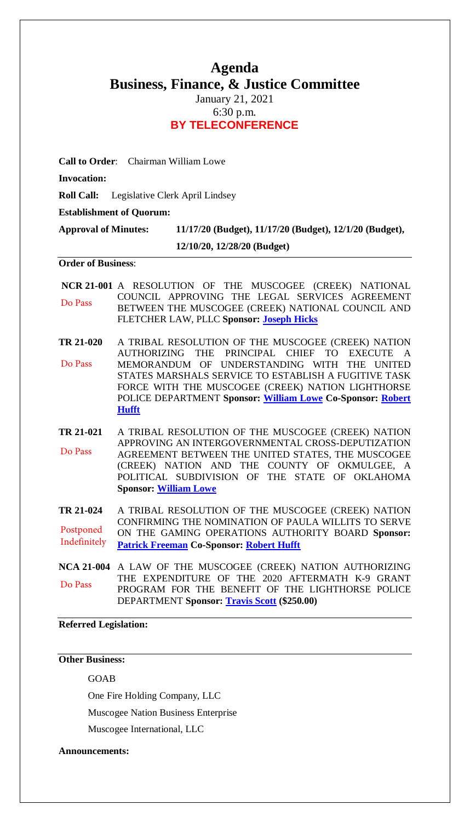# **Agenda Business, Finance, & Justice Committee**

January 21, 2021 6:30 p.m. **BY TELECONFERENCE**

**Call to Order**: Chairman William Lowe

**Invocation:** 

**Roll Call:** Legislative Clerk April Lindsey

**Establishment of Quorum:** 

**Approval of Minutes: 11/17/20 (Budget), 11/17/20 (Budget), 12/1/20 (Budget),** 

**12/10/20, 12/28/20 (Budget)**

#### **Order of Business**:

**[NCR 21-001](bills/NCR21-001.pdf)** A RESOLUTION OF THE MUSCOGEE (CREEK) NATIONAL COUNCIL APPROVING THE LEGAL SERVICES AGREEMENT BETWEEN THE MUSCOGEE (CREEK) NATIONAL COUNCIL AND FLETCHER LAW, PLLC **Sponsor: [Joseph Hicks](mailto:rhicks@mcn-nsn.gov)** Do Pass

- **[TR 21-020](bills/21-020.pdf)** A TRIBAL RESOLUTION OF THE MUSCOGEE (CREEK) NATION AUTHORIZING THE PRINCIPAL CHIEF TO EXECUTE A MEMORANDUM OF UNDERSTANDING WITH THE UNITED STATES MARSHALS SERVICE TO ESTABLISH A FUGITIVE TASK FORCE WITH THE MUSCOGEE (CREEK) NATION LIGHTHORSE POLICE DEPARTMENT **Sponsor: [William Lowe](mailto:wlowe@mcn-nsn.gov) Co-Sponsor: [Robert](mailto:rhufft@mcn-nsn.gov)  [Hufft](mailto:rhufft@mcn-nsn.gov)** Do Pass
- **[TR 21-021](bills/21-021.pdf)** A TRIBAL RESOLUTION OF THE MUSCOGEE (CREEK) NATION APPROVING AN INTERGOVERNMENTAL CROSS-DEPUTIZATION AGREEMENT BETWEEN THE UNITED STATES, THE MUSCOGEE (CREEK) NATION AND THE COUNTY OF OKMULGEE, A POLITICAL SUBDIVISION OF THE STATE OF OKLAHOMA **Sponsor: [William Lowe](mailto:wlowe@mcn-nsn.gov)** Do Pass

**TR 21-024** A TRIBAL RESOLUTION OF THE MUSCOGEE (CREEK) NATION CONFIRMING THE NOMINATION OF PAULA WILLITS TO SERVE ON THE GAMING OPERATIONS AUTHORITY BOARD **Sponsor: [Patrick Freeman](mailto:pfreeman@mcn-nsn.gov) Co-Sponsor: [Robert](mailto:rhufft@mcn-nsn.gov) Hufft** Postponed Indefinitely

**[NCA 21-004](bills/NCA21-004.pdf)** A LAW OF THE MUSCOGEE (CREEK) NATION AUTHORIZING THE EXPENDITURE OF THE 2020 AFTERMATH K-9 GRANT PROGRAM FOR THE BENEFIT OF THE LIGHTHORSE POLICE DEPARTMENT **Sponsor: [Travis Scott](mailto:tscott@mcn-nsn.gov) (\$250.00)** Do Pass

## **Referred Legislation:**

## **Other Business:**

#### GOAB

One Fire Holding Company, LLC

Muscogee Nation Business Enterprise

Muscogee International, LLC

### **Announcements:**